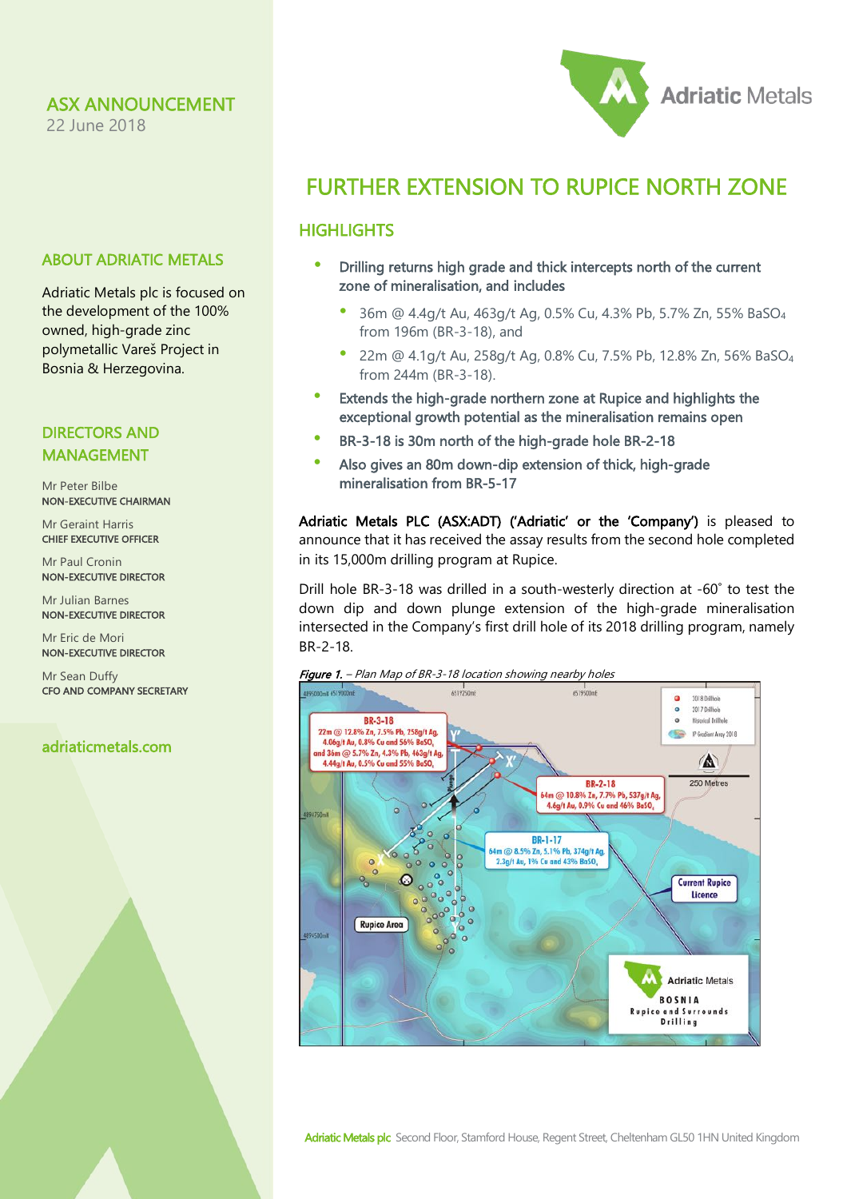22 June 2018

### ABOUT ADRIATIC METALS

Adriatic Metals plc is focused on the development of the 100% owned, high-grade zinc polymetallic Vareš Project in Bosnia & Herzegovina.

### DIRECTORS AND MANAGEMENT

Mr Peter Bilbe NON-EXECUTIVE CHAIRMAN

Mr Geraint Harris CHIEF EXECUTIVE OFFICER

Mr Paul Cronin NON-EXECUTIVE DIRECTOR

Mr Julian Barnes NON-EXECUTIVE DIRECTOR

Mr Eric de Mori NON-EXECUTIVE DIRECTOR

Mr Sean Duffy CFO AND COMPANY SECRETARY

### adriaticmetals.com

# FURTHER EXTENSION TO RUPICE NORTH ZONE

**Adriatic Metals** 

## **HIGHLIGHTS**

- Drilling returns high grade and thick intercepts north of the current zone of mineralisation, and includes
	- 36m @ 4.4g/t Au, 463g/t Ag, 0.5% Cu, 4.3% Pb, 5.7% Zn, 55% BaSO4 from 196m (BR-3-18), and
	- 22m @ 4.1g/t Au, 258g/t Ag, 0.8% Cu, 7.5% Pb, 12.8% Zn, 56% BaSO4 from 244m (BR-3-18).
- Extends the high-grade northern zone at Rupice and highlights the exceptional growth potential as the mineralisation remains open
- BR-3-18 is 30m north of the high-grade hole BR-2-18
- Also gives an 80m down-dip extension of thick, high-grade mineralisation from BR-5-17

Adriatic Metals PLC (ASX:ADT) ('Adriatic' or the 'Company') is pleased to announce that it has received the assay results from the second hole completed in its 15,000m drilling program at Rupice.

Drill hole BR-3-18 was drilled in a south-westerly direction at -60˚ to test the down dip and down plunge extension of the high-grade mineralisation intersected in the Company's first drill hole of its 2018 drilling program, namely BR-2-18.





Adriatic Metals plc Second Floor, Stamford House, Regent Street, Cheltenham GL50 1HN United Kingdom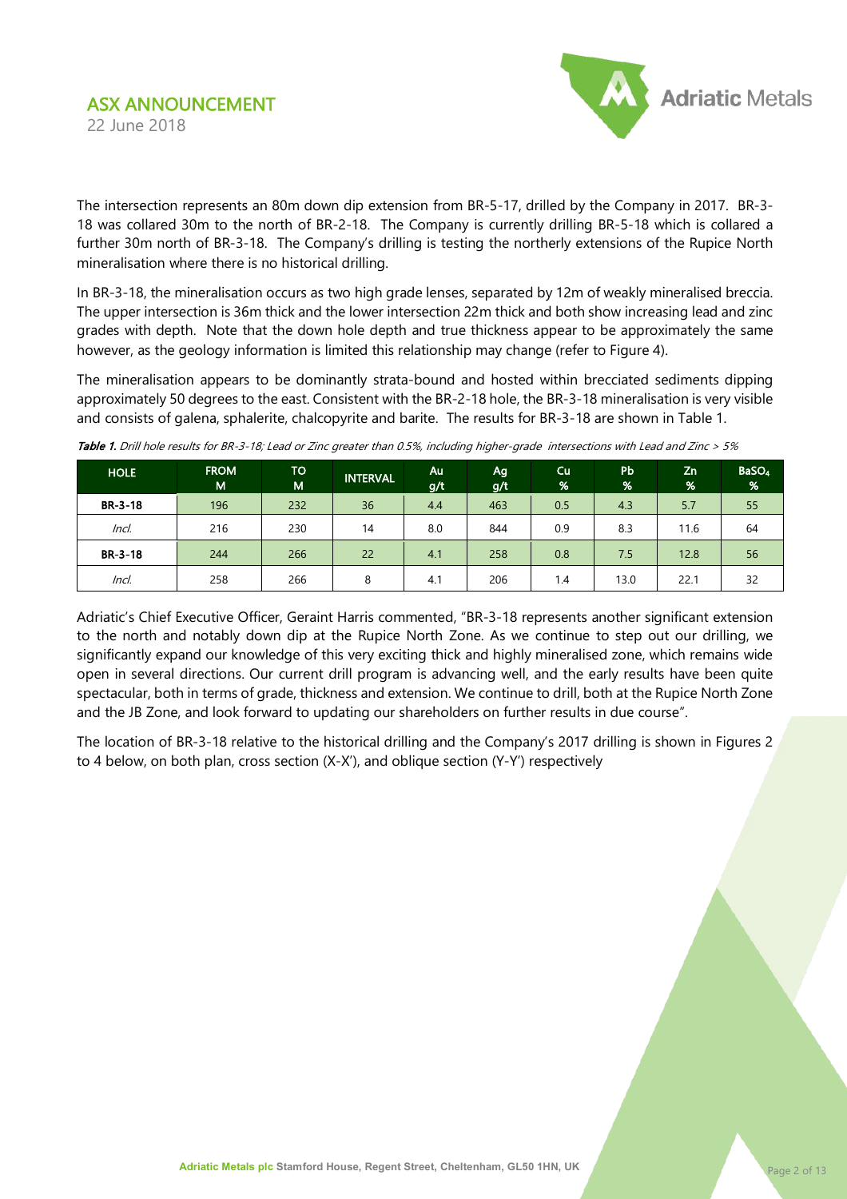

The intersection represents an 80m down dip extension from BR-5-17, drilled by the Company in 2017. BR-3- 18 was collared 30m to the north of BR-2-18. The Company is currently drilling BR-5-18 which is collared a further 30m north of BR-3-18. The Company's drilling is testing the northerly extensions of the Rupice North mineralisation where there is no historical drilling.

In BR-3-18, the mineralisation occurs as two high grade lenses, separated by 12m of weakly mineralised breccia. The upper intersection is 36m thick and the lower intersection 22m thick and both show increasing lead and zinc grades with depth. Note that the down hole depth and true thickness appear to be approximately the same however, as the geology information is limited this relationship may change (refer to Figure 4).

The mineralisation appears to be dominantly strata-bound and hosted within brecciated sediments dipping approximately 50 degrees to the east. Consistent with the BR-2-18 hole, the BR-3-18 mineralisation is very visible and consists of galena, sphalerite, chalcopyrite and barite. The results for BR-3-18 are shown in Table 1.

| <b>HOLE</b> | <b>FROM</b><br>M | TO<br>M | <b>INTERVAL</b> | Au<br>g/t | Ag<br>g/t | Cu<br>$\frac{96}{6}$ | Pb<br>% | Zn<br>% | BaSO <sub>4</sub><br>% |
|-------------|------------------|---------|-----------------|-----------|-----------|----------------------|---------|---------|------------------------|
| $BR-3-18$   | 196              | 232     | 36              | 4.4       | 463       | 0.5                  | 4.3     | 5.7     | 55                     |
| Incl.       | 216              | 230     | 14              | 8.0       | 844       | 0.9                  | 8.3     | 11.6    | 64                     |
| $BR-3-18$   | 244              | 266     | 22              | 4.1       | 258       | 0.8                  | 7.5     | 12.8    | 56                     |
| Incl.       | 258              | 266     | 8               | 4.1       | 206       | 1.4                  | 13.0    | 22.7    | 32                     |

Table 1. Drill hole results for BR-3-18; Lead or Zinc greater than 0.5%, including higher-grade intersections with Lead and Zinc > 5%

Adriatic's Chief Executive Officer, Geraint Harris commented, "BR-3-18 represents another significant extension to the north and notably down dip at the Rupice North Zone. As we continue to step out our drilling, we significantly expand our knowledge of this very exciting thick and highly mineralised zone, which remains wide open in several directions. Our current drill program is advancing well, and the early results have been quite spectacular, both in terms of grade, thickness and extension. We continue to drill, both at the Rupice North Zone and the JB Zone, and look forward to updating our shareholders on further results in due course".

The location of BR-3-18 relative to the historical drilling and the Company's 2017 drilling is shown in Figures 2 to 4 below, on both plan, cross section (X-X'), and oblique section (Y-Y') respectively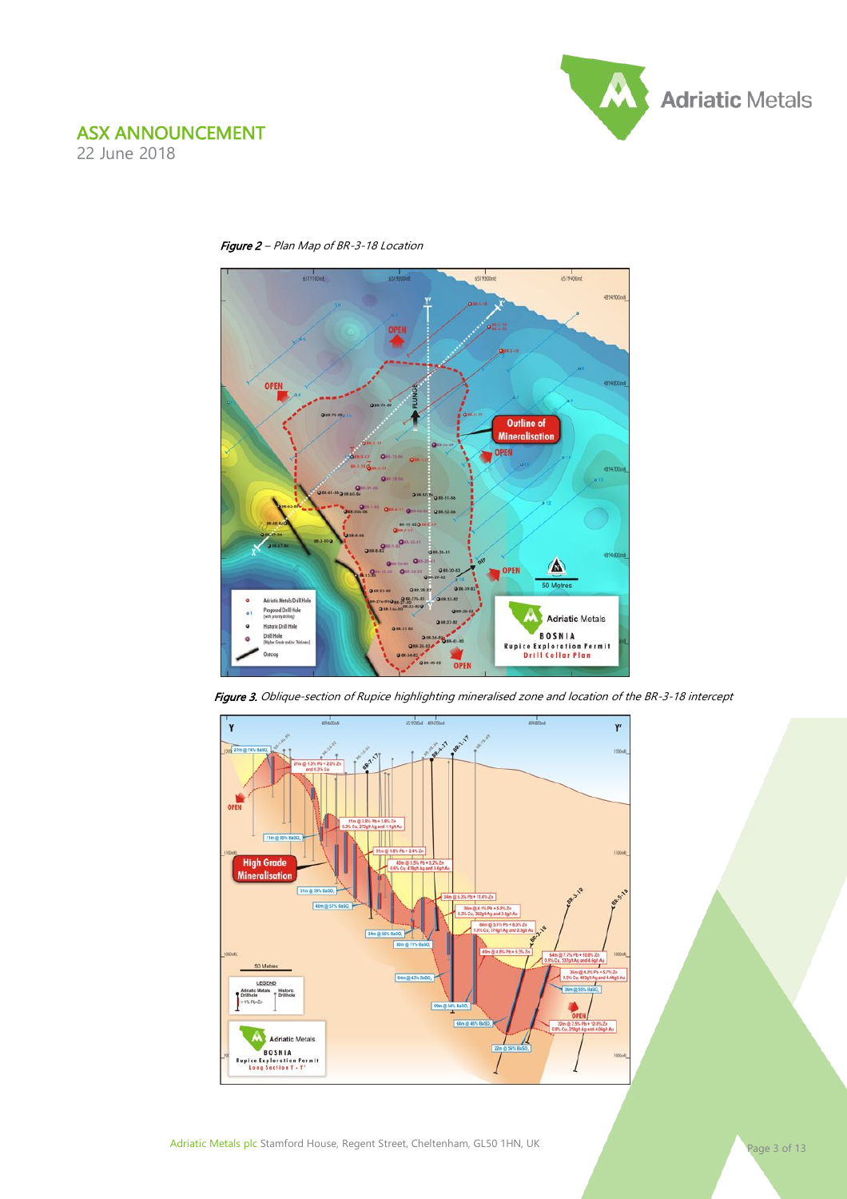







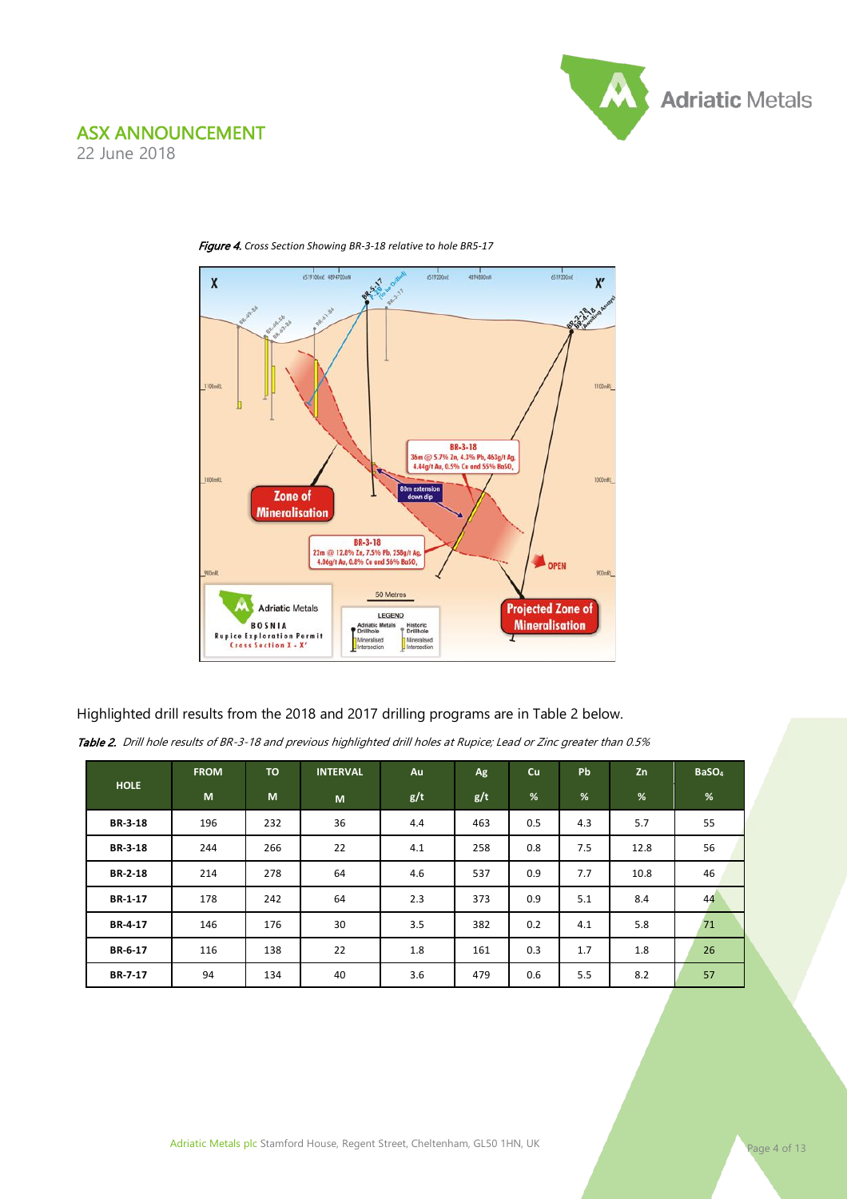

22 June 2018



Figure 4. *Cross Section Showing BR-3-18 relative to hole BR5-17*

Highlighted drill results from the 2018 and 2017 drilling programs are in Table 2 below.

|  | <b>Table 2.</b> Drill hole results of BR-3-18 and previous highlighted drill holes at Rupice; Lead or Zinc greater than 0.5% |  |  |  |  |  |  |  |
|--|------------------------------------------------------------------------------------------------------------------------------|--|--|--|--|--|--|--|
|--|------------------------------------------------------------------------------------------------------------------------------|--|--|--|--|--|--|--|

| <b>HOLE</b>    | <b>FROM</b> | <b>TO</b> | <b>INTERVAL</b> | Au  | Ag  | Cu  | <b>Pb</b>     | Zn   | BaSO <sub>4</sub> |
|----------------|-------------|-----------|-----------------|-----|-----|-----|---------------|------|-------------------|
|                | M           | M         | M               | g/t | g/t | %   | $\frac{9}{6}$ | %    | %                 |
| <b>BR-3-18</b> | 196         | 232       | 36              | 4.4 | 463 | 0.5 | 4.3           | 5.7  | 55                |
| <b>BR-3-18</b> | 244         | 266       | 22              | 4.1 | 258 | 0.8 | 7.5           | 12.8 | 56                |
| <b>BR-2-18</b> | 214         | 278       | 64              | 4.6 | 537 | 0.9 | 7.7           | 10.8 | 46                |
| BR-1-17        | 178         | 242       | 64              | 2.3 | 373 | 0.9 | 5.1           | 8.4  | 44                |
| BR-4-17        | 146         | 176       | 30              | 3.5 | 382 | 0.2 | 4.1           | 5.8  | 71                |
| BR-6-17        | 116         | 138       | 22              | 1.8 | 161 | 0.3 | 1.7           | 1.8  | 26                |
| BR-7-17        | 94          | 134       | 40              | 3.6 | 479 | 0.6 | 5.5           | 8.2  | 57                |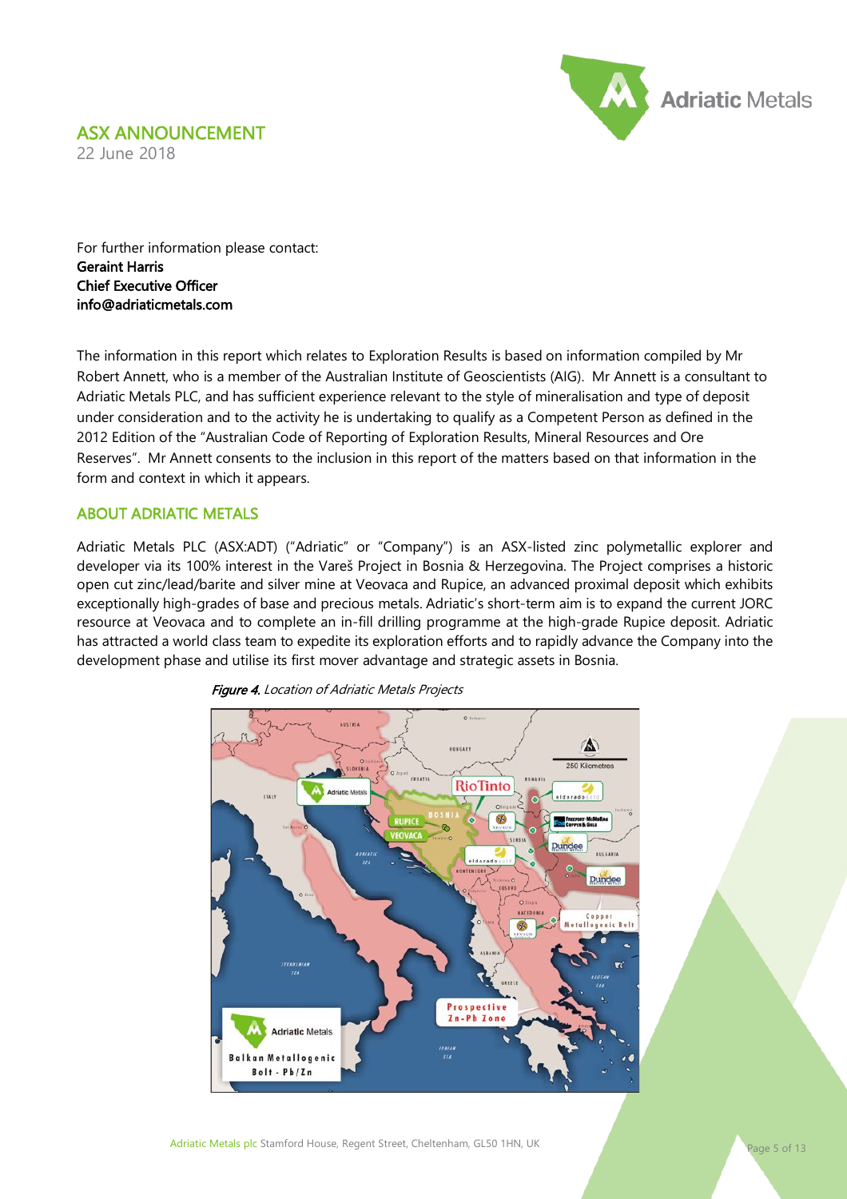#### ASX ANNOUNCEMENT 22 June 2018



For further information please contact: Geraint Harris Chief Executive Officer info@adriaticmetals.com

The information in this report which relates to Exploration Results is based on information compiled by Mr Robert Annett, who is a member of the Australian Institute of Geoscientists (AIG). Mr Annett is a consultant to Adriatic Metals PLC, and has sufficient experience relevant to the style of mineralisation and type of deposit under consideration and to the activity he is undertaking to qualify as a Competent Person as defined in the 2012 Edition of the "Australian Code of Reporting of Exploration Results, Mineral Resources and Ore Reserves". Mr Annett consents to the inclusion in this report of the matters based on that information in the form and context in which it appears.

#### ABOUT ADRIATIC METALS

Adriatic Metals PLC (ASX:ADT) ("Adriatic" or "Company") is an ASX-listed zinc polymetallic explorer and developer via its 100% interest in the Vareš Project in Bosnia & Herzegovina. The Project comprises a historic open cut zinc/lead/barite and silver mine at Veovaca and Rupice, an advanced proximal deposit which exhibits exceptionally high-grades of base and precious metals. Adriatic's short-term aim is to expand the current JORC resource at Veovaca and to complete an in-fill drilling programme at the high-grade Rupice deposit. Adriatic has attracted a world class team to expedite its exploration efforts and to rapidly advance the Company into the development phase and utilise its first mover advantage and strategic assets in Bosnia.



**Figure 4.** Location of Adriatic Metals Projects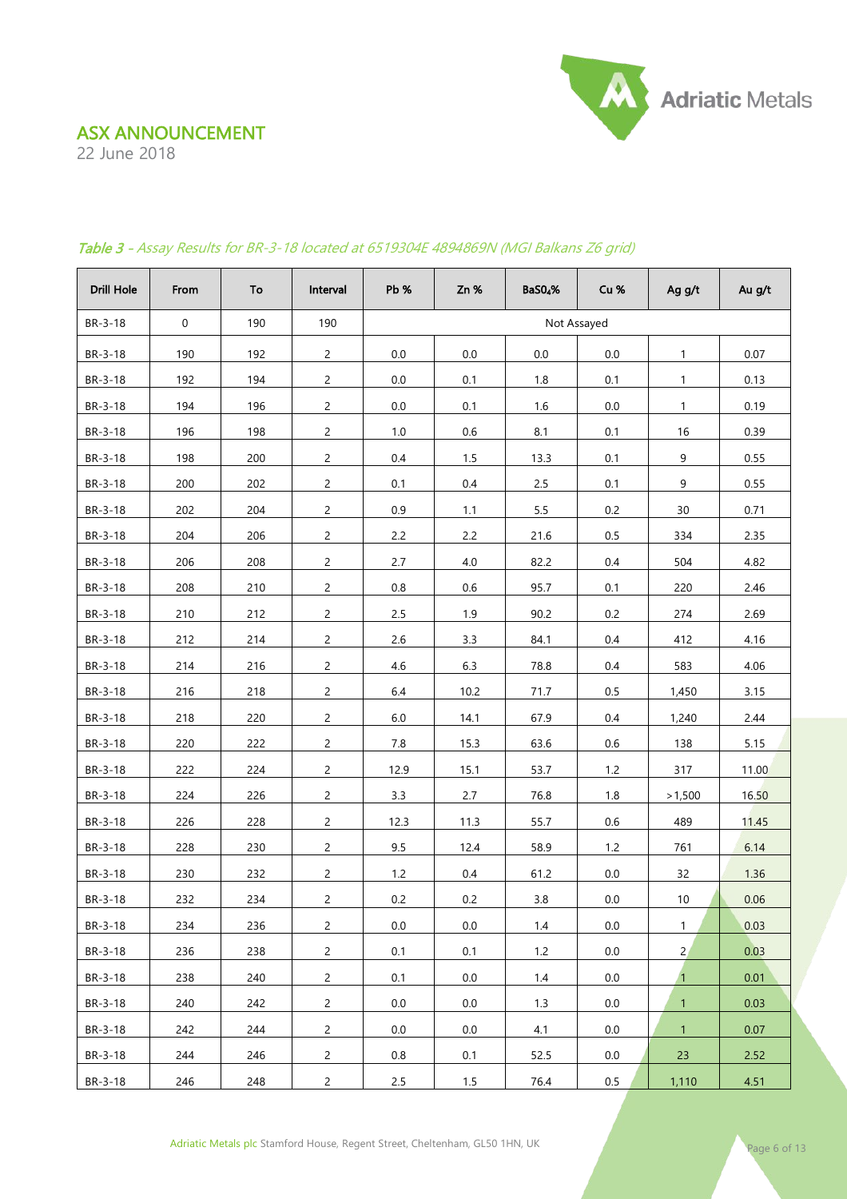22 June 2018



| Drill Hole | From             | To  | Interval       | Pb %    | Zn%  | <b>BaS04%</b> | Cu %    | Ag g/t         | Au g/t |
|------------|------------------|-----|----------------|---------|------|---------------|---------|----------------|--------|
| BR-3-18    | $\boldsymbol{0}$ | 190 | 190            |         |      | Not Assayed   |         |                |        |
| BR-3-18    | 190              | 192 | $\overline{c}$ | 0.0     | 0.0  | 0.0           | 0.0     | $\mathbf{1}$   | 0.07   |
| BR-3-18    | 192              | 194 | $\overline{c}$ | 0.0     | 0.1  | 1.8           | 0.1     | $\mathbf{1}$   | 0.13   |
| BR-3-18    | 194              | 196 | $\overline{2}$ | 0.0     | 0.1  | 1.6           | 0.0     | $\mathbf{1}$   | 0.19   |
| BR-3-18    | 196              | 198 | $\overline{c}$ | $1.0\,$ | 0.6  | 8.1           | 0.1     | 16             | 0.39   |
| BR-3-18    | 198              | 200 | $\overline{2}$ | 0.4     | 1.5  | 13.3          | 0.1     | 9              | 0.55   |
| BR-3-18    | 200              | 202 | $\overline{c}$ | 0.1     | 0.4  | 2.5           | 0.1     | 9              | 0.55   |
| BR-3-18    | 202              | 204 | $\overline{c}$ | 0.9     | 1.1  | 5.5           | 0.2     | 30             | 0.71   |
| BR-3-18    | 204              | 206 | $\overline{c}$ | 2.2     | 2.2  | 21.6          | $0.5\,$ | 334            | 2.35   |
| BR-3-18    | 206              | 208 | $\overline{2}$ | 2.7     | 4.0  | 82.2          | 0.4     | 504            | 4.82   |
| BR-3-18    | 208              | 210 | $\overline{c}$ | $0.8\,$ | 0.6  | 95.7          | 0.1     | 220            | 2.46   |
| BR-3-18    | 210              | 212 | $\overline{c}$ | 2.5     | 1.9  | 90.2          | 0.2     | 274            | 2.69   |
| BR-3-18    | 212              | 214 | $\overline{c}$ | 2.6     | 3.3  | 84.1          | 0.4     | 412            | 4.16   |
| BR-3-18    | 214              | 216 | $\overline{c}$ | 4.6     | 6.3  | 78.8          | 0.4     | 583            | 4.06   |
| BR-3-18    | 216              | 218 | $\overline{c}$ | 6.4     | 10.2 | 71.7          | 0.5     | 1,450          | 3.15   |
| BR-3-18    | 218              | 220 | $\overline{c}$ | $6.0\,$ | 14.1 | 67.9          | 0.4     | 1,240          | 2.44   |
| BR-3-18    | 220              | 222 | $\overline{c}$ | 7.8     | 15.3 | 63.6          | $0.6\,$ | 138            | 5.15   |
| BR-3-18    | 222              | 224 | $\overline{c}$ | 12.9    | 15.1 | 53.7          | 1.2     | 317            | 11.00  |
| BR-3-18    | 224              | 226 | $\overline{c}$ | 3.3     | 2.7  | 76.8          | 1.8     | >1,500         | 16.50  |
| BR-3-18    | 226              | 228 | $\overline{c}$ | 12.3    | 11.3 | 55.7          | $0.6\,$ | 489            | 11.45  |
| BR-3-18    | 228              | 230 | $\overline{c}$ | 9.5     | 12.4 | 58.9          | 1.2     | 761            | 6.14   |
| BR-3-18    | 230              | 232 | $\overline{c}$ | 1.2     | 0.4  | 61.2          | 0.0     | 32             | 1.36   |
| BR-3-18    | 232              | 234 | $\overline{c}$ | 0.2     | 0.2  | 3.8           | 0.0     | 10             | 0.06   |
| BR-3-18    | 234              | 236 | $\overline{c}$ | 0.0     | 0.0  | 1.4           | 0.0     | $\mathbf{1}$   | 0.03   |
| BR-3-18    | 236              | 238 | $\overline{c}$ | 0.1     | 0.1  | 1.2           | 0.0     | $\overline{2}$ | 0.03   |
| BR-3-18    | 238              | 240 | $\overline{c}$ | 0.1     | 0.0  | 1.4           | 0.0     | $\mathbf{1}$   | 0.01   |
| BR-3-18    | 240              | 242 | $\overline{c}$ | 0.0     | 0.0  | 1.3           | 0.0     | $\mathbf{1}$   | 0.03   |
| BR-3-18    | 242              | 244 | $\overline{c}$ | 0.0     | 0.0  | 4.1           | 0.0     | $\mathbf{1}$   | 0.07   |
| BR-3-18    | 244              | 246 | $\overline{2}$ | 0.8     | 0.1  | 52.5          | 0.0     | 23             | 2.52   |
| BR-3-18    | 246              | 248 | $\overline{c}$ | 2.5     | 1.5  | 76.4          | $0.5\,$ | 1,110          | 4.51   |

#### Table 3 - Assay Results for BR-3-18 located at 6519304E 4894869N (MGI Balkans Z6 grid)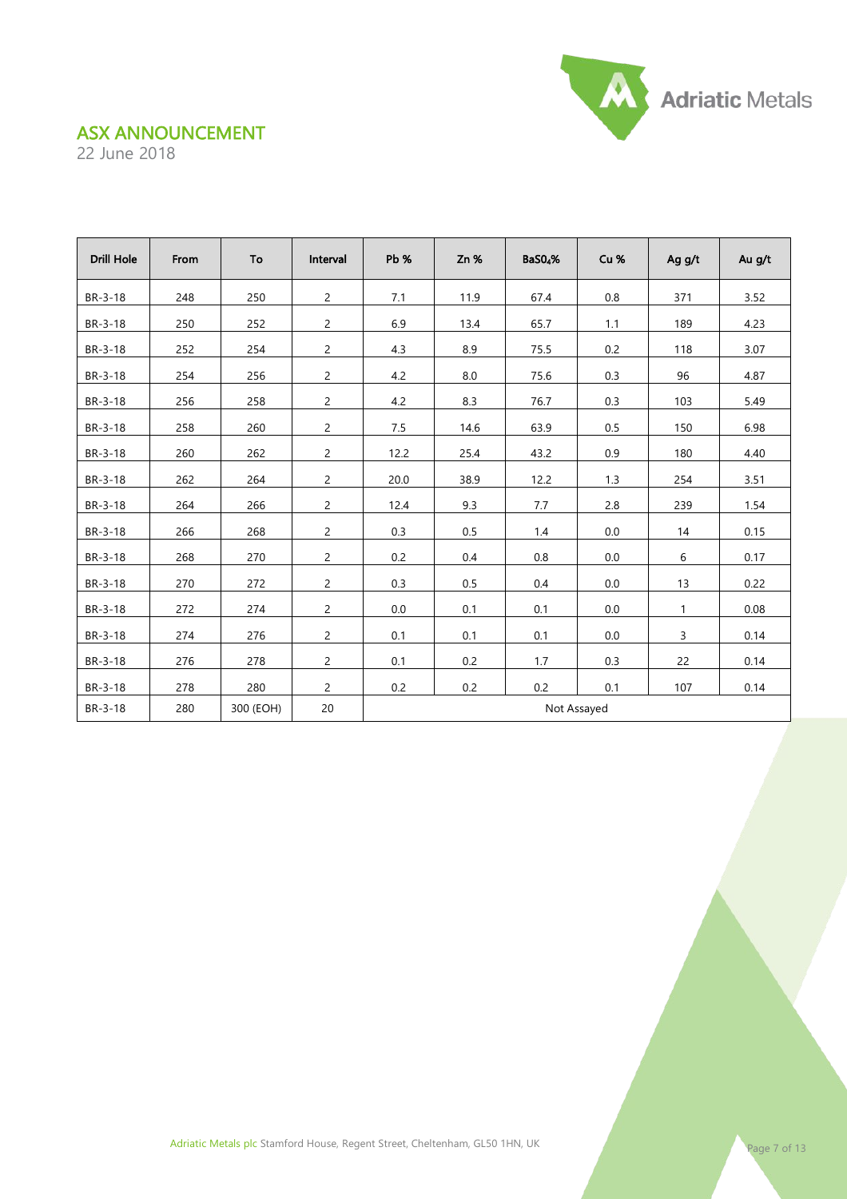22 June 2018

| <b>Drill Hole</b> | From | To        | Interval       | Pb %        | Zn %    | BaS0 <sub>4</sub> % | Cu %  | Ag g/t       | Au g/t |
|-------------------|------|-----------|----------------|-------------|---------|---------------------|-------|--------------|--------|
| BR-3-18           | 248  | 250       | $\overline{c}$ | 7.1         | 11.9    | 67.4                | 0.8   | 371          | 3.52   |
| BR-3-18           | 250  | 252       | $\overline{2}$ | 6.9         | 13.4    | 65.7                | 1.1   | 189          | 4.23   |
| BR-3-18           | 252  | 254       | $\overline{c}$ | 4.3         | 8.9     | 75.5                | 0.2   | 118          | 3.07   |
| BR-3-18           | 254  | 256       | $\overline{c}$ | 4.2         | 8.0     | 75.6                | 0.3   | 96           | 4.87   |
| BR-3-18           | 256  | 258       | $\overline{c}$ | 4.2         | 8.3     | 76.7                | 0.3   | 103          | 5.49   |
| BR-3-18           | 258  | 260       | $\overline{c}$ | $7.5$       | 14.6    | 63.9                | 0.5   | 150          | 6.98   |
| BR-3-18           | 260  | 262       | $\overline{c}$ | 12.2        | 25.4    | 43.2                | 0.9   | 180          | 4.40   |
| BR-3-18           | 262  | 264       | $\overline{c}$ | 20.0        | 38.9    | 12.2                | 1.3   | 254          | 3.51   |
| BR-3-18           | 264  | 266       | $\overline{c}$ | 12.4        | 9.3     | 7.7                 | $2.8$ | 239          | 1.54   |
| BR-3-18           | 266  | 268       | $\overline{c}$ | 0.3         | 0.5     | 1.4                 | 0.0   | 14           | 0.15   |
| BR-3-18           | 268  | 270       | $\overline{2}$ | 0.2         | 0.4     | 0.8                 | 0.0   | 6            | 0.17   |
| BR-3-18           | 270  | 272       | $\overline{2}$ | 0.3         | $0.5\,$ | 0.4                 | 0.0   | 13           | 0.22   |
| BR-3-18           | 272  | 274       | $\overline{2}$ | 0.0         | 0.1     | 0.1                 | 0.0   | $\mathbf{1}$ | 0.08   |
| BR-3-18           | 274  | 276       | $\overline{2}$ | 0.1         | 0.1     | 0.1                 | 0.0   | $\mathsf{3}$ | 0.14   |
| BR-3-18           | 276  | 278       | $\overline{2}$ | 0.1         | 0.2     | 1.7                 | 0.3   | 22           | 0.14   |
| BR-3-18           | 278  | 280       | $\overline{c}$ | 0.2         | 0.2     | 0.2                 | 0.1   | 107          | 0.14   |
| BR-3-18           | 280  | 300 (EOH) | 20             | Not Assayed |         |                     |       |              |        |



Adriatic Metals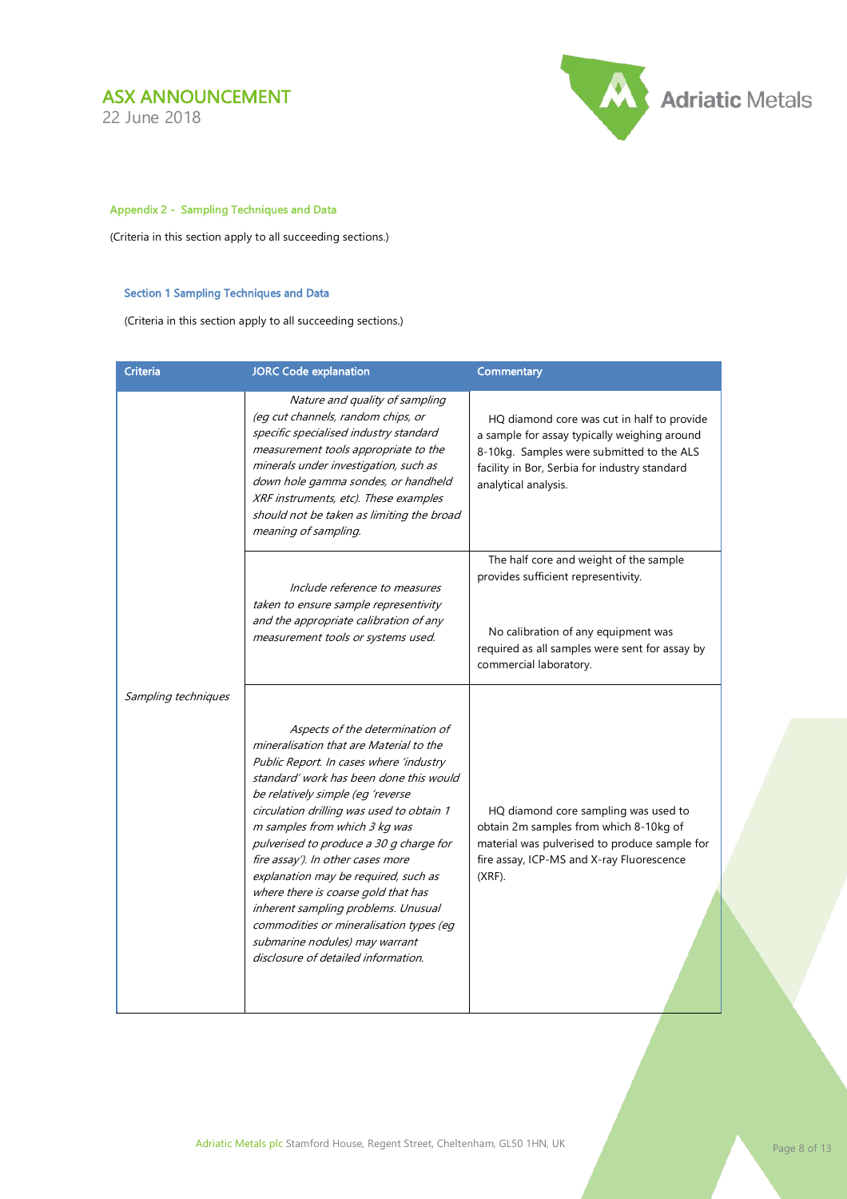22 June 2018



#### Appendix 2 - Sampling Techniques and Data

(Criteria in this section apply to all succeeding sections.)

#### Section 1 Sampling Techniques and Data

(Criteria in this section apply to all succeeding sections.)

| <b>Criteria</b>     | <b>JORC Code explanation</b>                                                                                                                                                                                                                                                                                                                                                                                                                                                                                                                                                                                  | Commentary                                                                                                                                                                                                       |
|---------------------|---------------------------------------------------------------------------------------------------------------------------------------------------------------------------------------------------------------------------------------------------------------------------------------------------------------------------------------------------------------------------------------------------------------------------------------------------------------------------------------------------------------------------------------------------------------------------------------------------------------|------------------------------------------------------------------------------------------------------------------------------------------------------------------------------------------------------------------|
|                     | Nature and quality of sampling<br>(eg cut channels, random chips, or<br>specific specialised industry standard<br>measurement tools appropriate to the<br>minerals under investigation, such as<br>down hole gamma sondes, or handheld<br>XRF instruments, etc). These examples<br>should not be taken as limiting the broad<br>meaning of sampling.                                                                                                                                                                                                                                                          | HQ diamond core was cut in half to provide<br>a sample for assay typically weighing around<br>8-10kg. Samples were submitted to the ALS<br>facility in Bor, Serbia for industry standard<br>analytical analysis. |
|                     | Include reference to measures<br>taken to ensure sample representivity<br>and the appropriate calibration of any<br>measurement tools or systems used.                                                                                                                                                                                                                                                                                                                                                                                                                                                        | The half core and weight of the sample<br>provides sufficient representivity.<br>No calibration of any equipment was<br>required as all samples were sent for assay by<br>commercial laboratory.                 |
| Sampling techniques | Aspects of the determination of<br>mineralisation that are Material to the<br>Public Report. In cases where 'industry<br>standard' work has been done this would<br>be relatively simple (eg 'reverse<br>circulation drilling was used to obtain 1<br>m samples from which 3 kg was<br>pulverised to produce a 30 g charge for<br>fire assay'). In other cases more<br>explanation may be required, such as<br>where there is coarse gold that has<br>inherent sampling problems. Unusual<br>commodities or mineralisation types (eg<br>submarine nodules) may warrant<br>disclosure of detailed information. | HQ diamond core sampling was used to<br>obtain 2m samples from which 8-10kg of<br>material was pulverised to produce sample for<br>fire assay, ICP-MS and X-ray Fluorescence<br>$(XRF)$ .                        |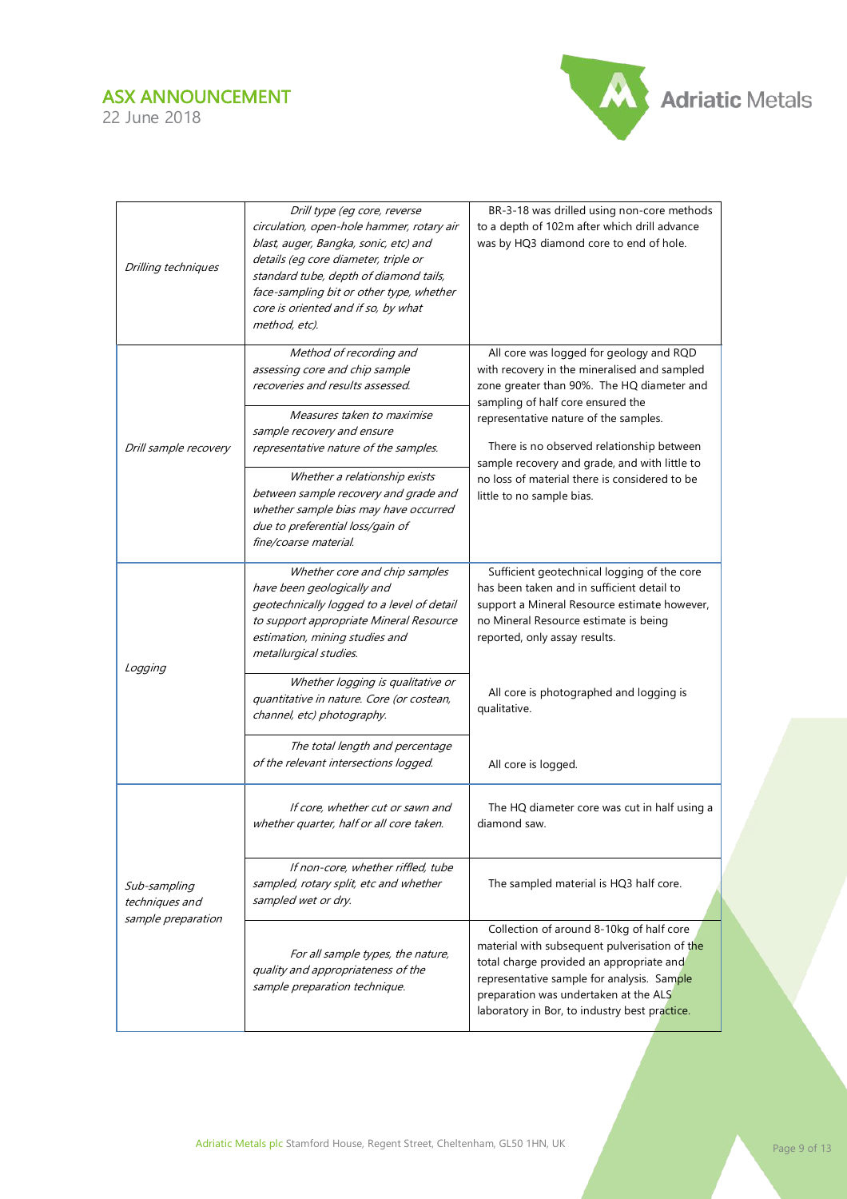

| Drilling techniques                                  | Drill type (eq core, reverse<br>circulation, open-hole hammer, rotary air<br>blast, auger, Bangka, sonic, etc) and<br>details (eg core diameter, triple or<br>standard tube, depth of diamond tails,<br>face-sampling bit or other type, whether<br>core is oriented and if so, by what<br>method, etc). | BR-3-18 was drilled using non-core methods<br>to a depth of 102m after which drill advance<br>was by HQ3 diamond core to end of hole.                                                                                                                                         |  |
|------------------------------------------------------|----------------------------------------------------------------------------------------------------------------------------------------------------------------------------------------------------------------------------------------------------------------------------------------------------------|-------------------------------------------------------------------------------------------------------------------------------------------------------------------------------------------------------------------------------------------------------------------------------|--|
|                                                      | Method of recording and<br>assessing core and chip sample<br>recoveries and results assessed.                                                                                                                                                                                                            | All core was logged for geology and RQD<br>with recovery in the mineralised and sampled<br>zone greater than 90%. The HQ diameter and<br>sampling of half core ensured the                                                                                                    |  |
| Drill sample recovery                                | Measures taken to maximise<br>sample recovery and ensure<br>representative nature of the samples.                                                                                                                                                                                                        | representative nature of the samples.<br>There is no observed relationship between<br>sample recovery and grade, and with little to                                                                                                                                           |  |
|                                                      | Whether a relationship exists<br>between sample recovery and grade and<br>whether sample bias may have occurred<br>due to preferential loss/gain of<br>fine/coarse material.                                                                                                                             | no loss of material there is considered to be<br>little to no sample bias.                                                                                                                                                                                                    |  |
|                                                      | Whether core and chip samples<br>have been geologically and<br>geotechnically logged to a level of detail<br>to support appropriate Mineral Resource<br>estimation, mining studies and<br>metallurgical studies.                                                                                         | Sufficient geotechnical logging of the core<br>has been taken and in sufficient detail to<br>support a Mineral Resource estimate however,<br>no Mineral Resource estimate is being<br>reported, only assay results.                                                           |  |
| Logging                                              | Whether logging is qualitative or<br>quantitative in nature. Core (or costean,<br>channel, etc) photography.                                                                                                                                                                                             | All core is photographed and logging is<br>qualitative.                                                                                                                                                                                                                       |  |
|                                                      | The total length and percentage<br>of the relevant intersections logged.                                                                                                                                                                                                                                 | All core is logged.                                                                                                                                                                                                                                                           |  |
|                                                      | If core, whether cut or sawn and<br>whether quarter, half or all core taken.                                                                                                                                                                                                                             | The HQ diameter core was cut in half using a<br>diamond saw.                                                                                                                                                                                                                  |  |
| Sub-sampling<br>techniques and<br>sample preparation | If non-core, whether riffled, tube<br>sampled, rotary split, etc and whether<br>sampled wet or dry.                                                                                                                                                                                                      | The sampled material is HQ3 half core.                                                                                                                                                                                                                                        |  |
|                                                      | For all sample types, the nature,<br>quality and appropriateness of the<br>sample preparation technique.                                                                                                                                                                                                 | Collection of around 8-10kg of half core<br>material with subsequent pulverisation of the<br>total charge provided an appropriate and<br>representative sample for analysis. Sample<br>preparation was undertaken at the ALS<br>laboratory in Bor, to industry best practice. |  |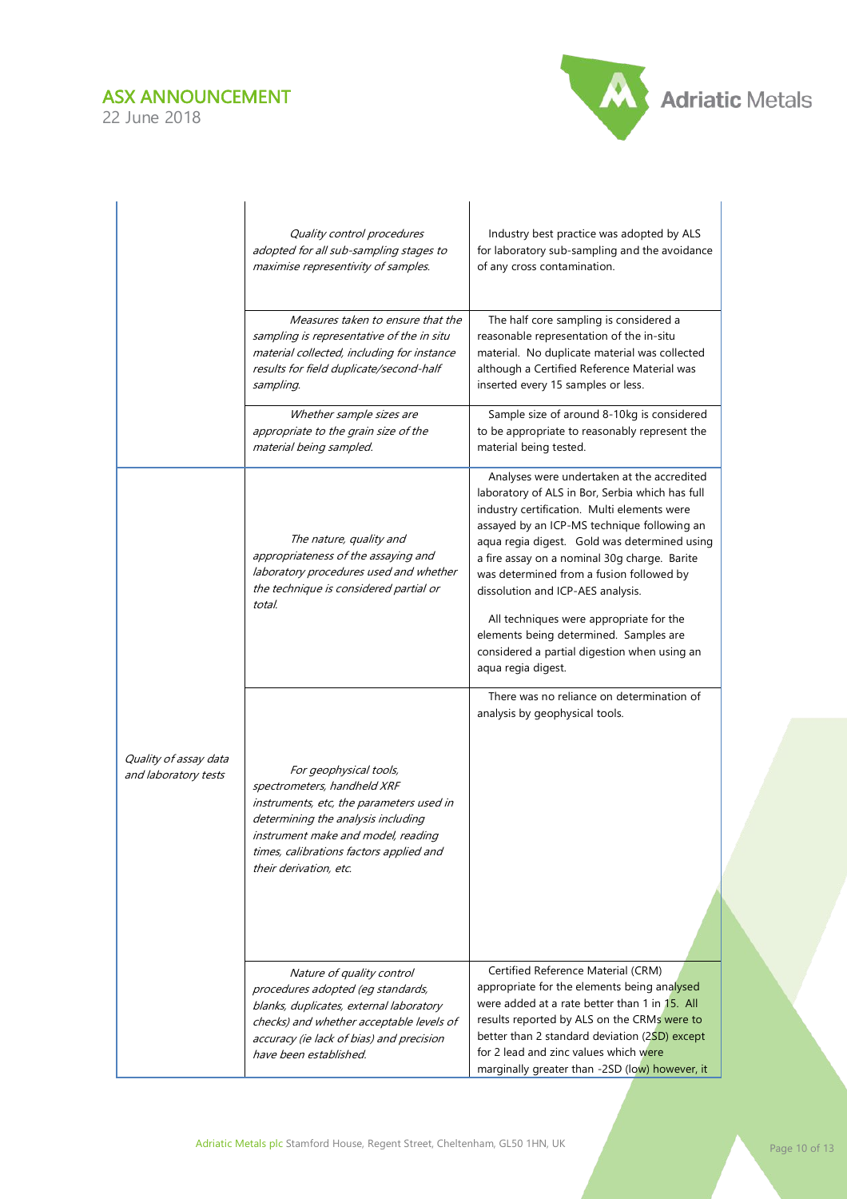

|                                               | Quality control procedures<br>adopted for all sub-sampling stages to<br>maximise representivity of samples.                                                                                                                                        | Industry best practice was adopted by ALS<br>for laboratory sub-sampling and the avoidance<br>of any cross contamination.                                                                                                                                                                                                                                                                                                                                                                                                               |
|-----------------------------------------------|----------------------------------------------------------------------------------------------------------------------------------------------------------------------------------------------------------------------------------------------------|-----------------------------------------------------------------------------------------------------------------------------------------------------------------------------------------------------------------------------------------------------------------------------------------------------------------------------------------------------------------------------------------------------------------------------------------------------------------------------------------------------------------------------------------|
|                                               | Measures taken to ensure that the<br>sampling is representative of the in situ<br>material collected, including for instance<br>results for field duplicate/second-half<br>sampling.                                                               | The half core sampling is considered a<br>reasonable representation of the in-situ<br>material. No duplicate material was collected<br>although a Certified Reference Material was<br>inserted every 15 samples or less.                                                                                                                                                                                                                                                                                                                |
|                                               | Whether sample sizes are<br>appropriate to the grain size of the<br>material being sampled.                                                                                                                                                        | Sample size of around 8-10kg is considered<br>to be appropriate to reasonably represent the<br>material being tested.                                                                                                                                                                                                                                                                                                                                                                                                                   |
|                                               | The nature, quality and<br>appropriateness of the assaying and<br>laboratory procedures used and whether<br>the technique is considered partial or<br>total.                                                                                       | Analyses were undertaken at the accredited<br>laboratory of ALS in Bor, Serbia which has full<br>industry certification. Multi elements were<br>assayed by an ICP-MS technique following an<br>aqua regia digest. Gold was determined using<br>a fire assay on a nominal 30g charge. Barite<br>was determined from a fusion followed by<br>dissolution and ICP-AES analysis.<br>All techniques were appropriate for the<br>elements being determined. Samples are<br>considered a partial digestion when using an<br>aqua regia digest. |
| Quality of assay data<br>and laboratory tests | For geophysical tools,<br>spectrometers, handheld XRF<br>instruments, etc, the parameters used in<br>determining the analysis including<br>instrument make and model, reading<br>times, calibrations factors applied and<br>their derivation, etc. | There was no reliance on determination of<br>analysis by geophysical tools.                                                                                                                                                                                                                                                                                                                                                                                                                                                             |
|                                               | Nature of quality control<br>procedures adopted (eg standards,<br>blanks, duplicates, external laboratory<br>checks) and whether acceptable levels of<br>accuracy (ie lack of bias) and precision<br>have been established.                        | Certified Reference Material (CRM)<br>appropriate for the elements being analysed<br>were added at a rate better than 1 in 15. All<br>results reported by ALS on the CRMs were to<br>better than 2 standard deviation (2SD) except<br>for 2 lead and zinc values which were<br>marginally greater than -2SD (low) however, it                                                                                                                                                                                                           |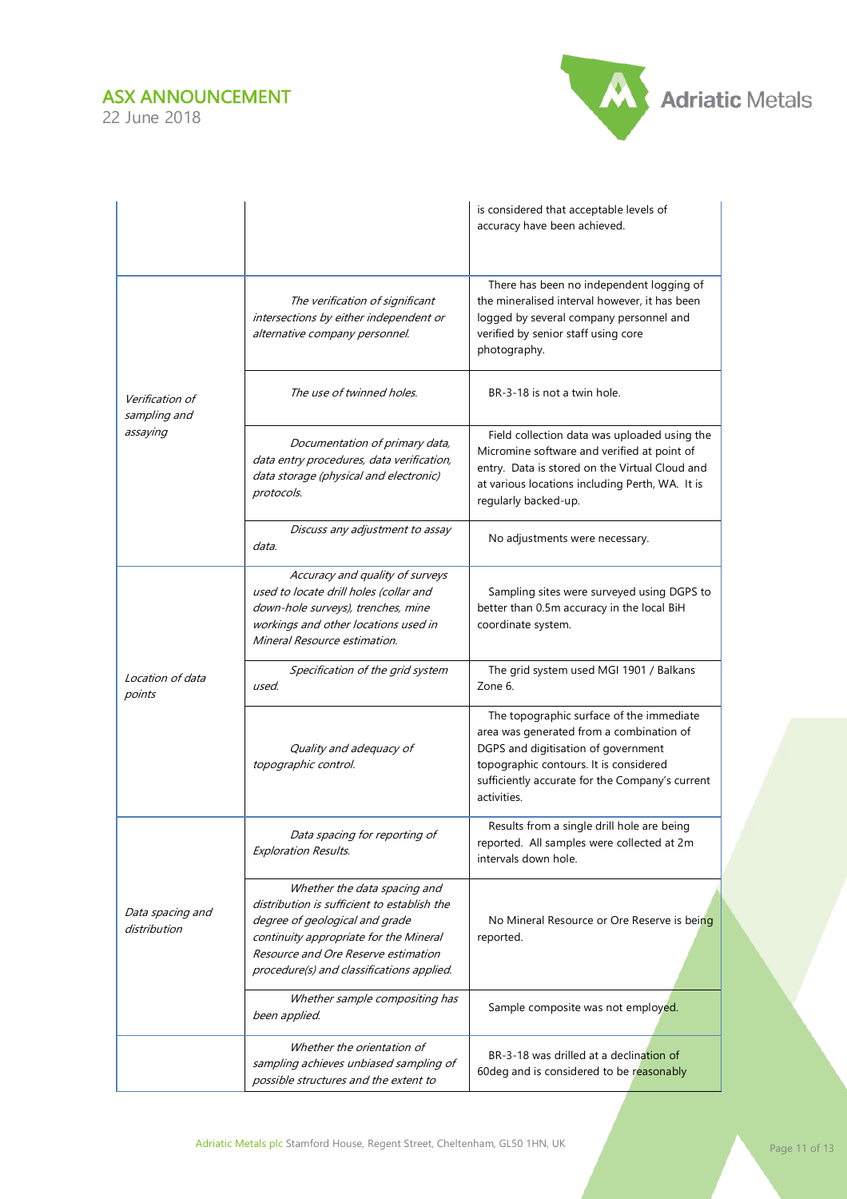

|                                  |                                                                                                                                                                                                                                             | is considered that acceptable levels of<br>accuracy have been achieved.                                                                                                                                                                 |
|----------------------------------|---------------------------------------------------------------------------------------------------------------------------------------------------------------------------------------------------------------------------------------------|-----------------------------------------------------------------------------------------------------------------------------------------------------------------------------------------------------------------------------------------|
|                                  | The verification of significant<br>intersections by either independent or<br>alternative company personnel.                                                                                                                                 | There has been no independent logging of<br>the mineralised interval however, it has been<br>logged by several company personnel and<br>verified by senior staff using core<br>photography.                                             |
| Verification of<br>sampling and  | The use of twinned holes.                                                                                                                                                                                                                   | BR-3-18 is not a twin hole.                                                                                                                                                                                                             |
| assaying                         | Documentation of primary data,<br>data entry procedures, data verification,<br>data storage (physical and electronic)<br>protocols.                                                                                                         | Field collection data was uploaded using the<br>Micromine software and verified at point of<br>entry. Data is stored on the Virtual Cloud and<br>at various locations including Perth, WA. It is<br>regularly backed-up.                |
|                                  | Discuss any adjustment to assay<br>data.                                                                                                                                                                                                    | No adjustments were necessary.                                                                                                                                                                                                          |
|                                  | Accuracy and quality of surveys<br>used to locate drill holes (collar and<br>down-hole surveys), trenches, mine<br>workings and other locations used in<br>Mineral Resource estimation.                                                     | Sampling sites were surveyed using DGPS to<br>better than 0.5m accuracy in the local BiH<br>coordinate system.                                                                                                                          |
| Location of data<br>points       | Specification of the grid system<br>used.                                                                                                                                                                                                   | The grid system used MGI 1901 / Balkans<br>Zone 6.                                                                                                                                                                                      |
|                                  | Quality and adequacy of<br>topographic control.                                                                                                                                                                                             | The topographic surface of the immediate<br>area was generated from a combination of<br>DGPS and digitisation of government<br>topographic contours. It is considered<br>sufficiently accurate for the Company's current<br>activities. |
|                                  | Data spacing for reporting of<br><b>Exploration Results.</b>                                                                                                                                                                                | Results from a single drill hole are being<br>reported. All samples were collected at 2m<br>intervals down hole.                                                                                                                        |
| Data spacing and<br>distribution | Whether the data spacing and<br>distribution is sufficient to establish the<br>degree of geological and grade<br>continuity appropriate for the Mineral<br>Resource and Ore Reserve estimation<br>procedure(s) and classifications applied. | No Mineral Resource or Ore Reserve is being<br>reported.                                                                                                                                                                                |
|                                  | Whether sample compositing has<br>been applied.                                                                                                                                                                                             | Sample composite was not employed.                                                                                                                                                                                                      |
|                                  | Whether the orientation of<br>sampling achieves unbiased sampling of<br>possible structures and the extent to                                                                                                                               | BR-3-18 was drilled at a declination of<br>60deg and is considered to be reasonably                                                                                                                                                     |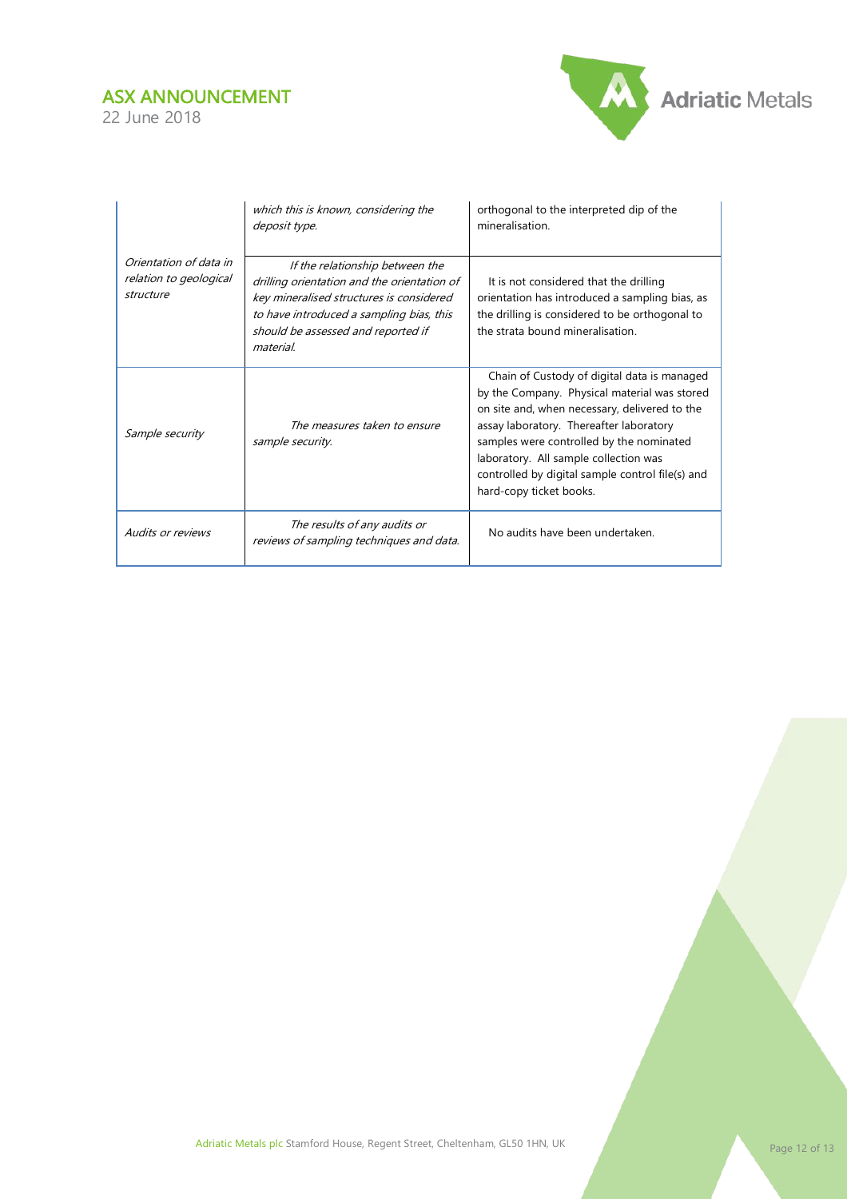

|                                                               | which this is known, considering the<br>deposit type.                                                                                                                                                                     | orthogonal to the interpreted dip of the<br>mineralisation.                                                                                                                                                                                                                                                                                                 |  |  |
|---------------------------------------------------------------|---------------------------------------------------------------------------------------------------------------------------------------------------------------------------------------------------------------------------|-------------------------------------------------------------------------------------------------------------------------------------------------------------------------------------------------------------------------------------------------------------------------------------------------------------------------------------------------------------|--|--|
| Orientation of data in<br>relation to geological<br>structure | If the relationship between the<br>drilling orientation and the orientation of<br>key mineralised structures is considered<br>to have introduced a sampling bias, this<br>should be assessed and reported if<br>material. | It is not considered that the drilling<br>orientation has introduced a sampling bias, as<br>the drilling is considered to be orthogonal to<br>the strata bound mineralisation.                                                                                                                                                                              |  |  |
| Sample security                                               | The measures taken to ensure<br>sample security.                                                                                                                                                                          | Chain of Custody of digital data is managed<br>by the Company. Physical material was stored<br>on site and, when necessary, delivered to the<br>assay laboratory. Thereafter laboratory<br>samples were controlled by the nominated<br>laboratory. All sample collection was<br>controlled by digital sample control file(s) and<br>hard-copy ticket books. |  |  |
| <b>Audits or reviews</b>                                      | The results of any audits or<br>reviews of sampling techniques and data.                                                                                                                                                  | No audits have been undertaken.                                                                                                                                                                                                                                                                                                                             |  |  |